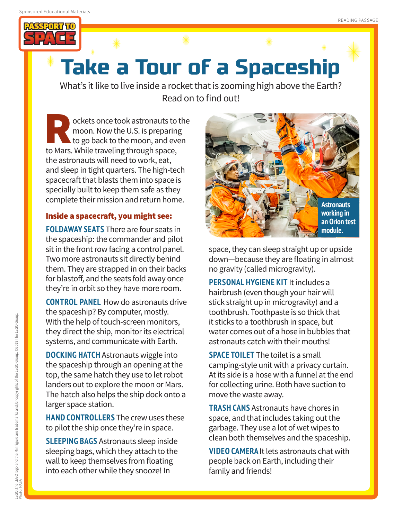

## **Take a Tour of a Spaceship**

What's it like to live inside a rocket that is zooming high above the Earth? Read on to find out!

**Rockets once took astronauts to the moon.** Now the U.S. is preparing to go back to the moon, and even to Mars. While traveling through space, moon. Now the U.S. is preparing to go back to the moon, and even the astronauts will need to work, eat, and sleep in tight quarters. The high-tech spacecraft that blasts them into space is specially built to keep them safe as they complete their mission and return home.

## Inside a spacecraft, you might see:

**FOLDAWAY SEATS** There are four seats in the spaceship: the commander and pilot sit in the front row facing a control panel. Two more astronauts sit directly behind them. They are strapped in on their backs for blastoff, and the seats fold away once they're in orbit so they have more room.

**CONTROL PANEL** How do astronauts drive the spaceship? By computer, mostly. With the help of touch-screen monitors, they direct the ship, monitor its electrical systems, and communicate with Earth.

**DOCKING HATCH** Astronauts wiggle into the spaceship through an opening at the top, the same hatch they use to let robot landers out to explore the moon or Mars. The hatch also helps the ship dock onto a larger space station.

**HAND CONTROLLERS** The crew uses these to pilot the ship once they're in space.

**SLEEPING BAGS** Astronauts sleep inside sleeping bags, which they attach to the wall to keep themselves from floating into each other while they snooze! In



space, they can sleep straight up or upside down—because they are floating in almost no gravity (called microgravity).

**PERSONAL HYGIENE KIT** It includes a hairbrush (even though your hair will stick straight up in microgravity) and a toothbrush. Toothpaste is so thick that it sticks to a toothbrush in space, but water comes out of a hose in bubbles that astronauts catch with their mouths!

**SPACE TOILET** The toilet is a small camping-style unit with a privacy curtain. At its side is a hose with a funnel at the end for collecting urine. Both have suction to move the waste away.

**TRASH CANS** Astronauts have chores in space, and that includes taking out the garbage. They use a lot of wet wipes to clean both themselves and the spaceship.

**VIDEO CAMERA** It lets astronauts chat with people back on Earth, including their family and friends!